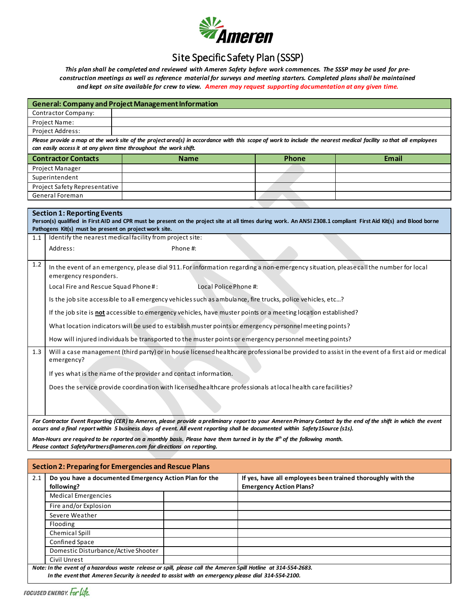

## Site Specific Safety Plan (SSSP)

*This plan shall be completed and reviewed with Ameren Safety before work commences. The SSSP may be used for preconstruction meetings as well as reference material for surveys and meeting starters. Completed plans shall be maintained and kept on site available for crew to view. Ameren may request supporting documentation at any given time.* 

|            |                                                                                              | <b>General: Company and Project Management Information</b>                                                                                                                                                                                                                                                                                                                                                                                                                                                                                                                                                                                                                                                                                                            |                                                             |       |
|------------|----------------------------------------------------------------------------------------------|-----------------------------------------------------------------------------------------------------------------------------------------------------------------------------------------------------------------------------------------------------------------------------------------------------------------------------------------------------------------------------------------------------------------------------------------------------------------------------------------------------------------------------------------------------------------------------------------------------------------------------------------------------------------------------------------------------------------------------------------------------------------------|-------------------------------------------------------------|-------|
|            | Contractor Company:                                                                          |                                                                                                                                                                                                                                                                                                                                                                                                                                                                                                                                                                                                                                                                                                                                                                       |                                                             |       |
|            | <b>Project Name:</b>                                                                         |                                                                                                                                                                                                                                                                                                                                                                                                                                                                                                                                                                                                                                                                                                                                                                       |                                                             |       |
|            | <b>Project Address:</b>                                                                      |                                                                                                                                                                                                                                                                                                                                                                                                                                                                                                                                                                                                                                                                                                                                                                       |                                                             |       |
|            |                                                                                              | Please provide a map at the work site of the project area(s) in accordance with this scope of work to include the nearest medical facility so that all employees<br>can easily access it at any given time throughout the work shift.                                                                                                                                                                                                                                                                                                                                                                                                                                                                                                                                 |                                                             |       |
|            | <b>Contractor Contacts</b>                                                                   | <b>Name</b>                                                                                                                                                                                                                                                                                                                                                                                                                                                                                                                                                                                                                                                                                                                                                           | <b>Phone</b>                                                | Email |
|            | Project Manager                                                                              |                                                                                                                                                                                                                                                                                                                                                                                                                                                                                                                                                                                                                                                                                                                                                                       |                                                             |       |
|            | Superintendent                                                                               |                                                                                                                                                                                                                                                                                                                                                                                                                                                                                                                                                                                                                                                                                                                                                                       |                                                             |       |
|            | <b>Project Safety Representative</b>                                                         |                                                                                                                                                                                                                                                                                                                                                                                                                                                                                                                                                                                                                                                                                                                                                                       |                                                             |       |
|            | General Foreman                                                                              |                                                                                                                                                                                                                                                                                                                                                                                                                                                                                                                                                                                                                                                                                                                                                                       |                                                             |       |
| 1.1        | <b>Section 1: Reporting Events</b><br>Pathogens Kit(s) must be present on project work site. | Person(s) qualified in First AID and CPR must be present on the project site at all times during work. An ANSI Z308.1 compliant First Aid Kit(s) and Blood borne<br>Identify the nearest medical facility from project site:                                                                                                                                                                                                                                                                                                                                                                                                                                                                                                                                          |                                                             |       |
|            | Address:                                                                                     | Phone #:                                                                                                                                                                                                                                                                                                                                                                                                                                                                                                                                                                                                                                                                                                                                                              |                                                             |       |
| 1.2<br>1.3 | emergency responders.<br>Local Fire and Rescue Squad Phone#:                                 | In the event of an emergency, please dial 911. For information regarding a non-emergency situation, please call the number for local<br>Local Police Phone #:<br>Is the job site accessible to all emergency vehicles such as ambulance, fire trucks, police vehicles, etc?<br>If the job site is not accessible to emergency vehicles, have muster points or a meeting location established?<br>What location indicators will be used to establish muster points or emergency personnel meeting points?<br>How will injured individuals be transported to the muster points or emergency personnel meeting points?<br>Will a case management (third party) or in house licensed healthcare professional be provided to assist in the event of a first aid or medical |                                                             |       |
|            | emergency?                                                                                   | If yes what is the name of the provider and contact information.                                                                                                                                                                                                                                                                                                                                                                                                                                                                                                                                                                                                                                                                                                      |                                                             |       |
|            |                                                                                              |                                                                                                                                                                                                                                                                                                                                                                                                                                                                                                                                                                                                                                                                                                                                                                       |                                                             |       |
|            |                                                                                              | Does the service provide coordination with licensed healthcare professionals at local health care facilities?                                                                                                                                                                                                                                                                                                                                                                                                                                                                                                                                                                                                                                                         |                                                             |       |
|            |                                                                                              | For Contractor Event Reporting (CER) to Ameren, please provide a preliminary report to your Ameren Primary Contact by the end of the shift in which the event<br>occurs and a final report within 5 business days of event. All event reporting shall be documented within Safety1Source (s1s).                                                                                                                                                                                                                                                                                                                                                                                                                                                                       |                                                             |       |
|            |                                                                                              | Man-Hours are required to be reported on a monthly basis. Please have them turned in by the 8 <sup>th</sup> of the following month.<br>Please contact SafetyPartners@ameren.com for directions on reporting.                                                                                                                                                                                                                                                                                                                                                                                                                                                                                                                                                          |                                                             |       |
|            |                                                                                              | <b>Section 2: Preparing for Emergencies and Rescue Plans</b>                                                                                                                                                                                                                                                                                                                                                                                                                                                                                                                                                                                                                                                                                                          |                                                             |       |
| 2.1        |                                                                                              | Do you have a documented Emergency Action Plan for the                                                                                                                                                                                                                                                                                                                                                                                                                                                                                                                                                                                                                                                                                                                | If yes, have all employees been trained thoroughly with the |       |

| 2.1 | Do you have a documented Emergency Action Plan for the                                                          | If yes, have all employees been trained thoroughly with the |
|-----|-----------------------------------------------------------------------------------------------------------------|-------------------------------------------------------------|
|     | following?                                                                                                      | <b>Emergency Action Plans?</b>                              |
|     | <b>Medical Emergencies</b>                                                                                      |                                                             |
|     | Fire and/or Explosion                                                                                           |                                                             |
|     | Severe Weather                                                                                                  |                                                             |
|     | Flooding                                                                                                        |                                                             |
|     | Chemical Spill                                                                                                  |                                                             |
|     | <b>Confined Space</b>                                                                                           |                                                             |
|     | Domestic Disturbance/Active Shooter                                                                             |                                                             |
|     | Civil Unrest                                                                                                    |                                                             |
|     | Note: In the event of a hazardous waste release or spill, please call the Ameren Spill Hotline at 314-554-2683. |                                                             |

 *In the event that Ameren Security is needed to assist with an emergency please dial 314-554-2100.*

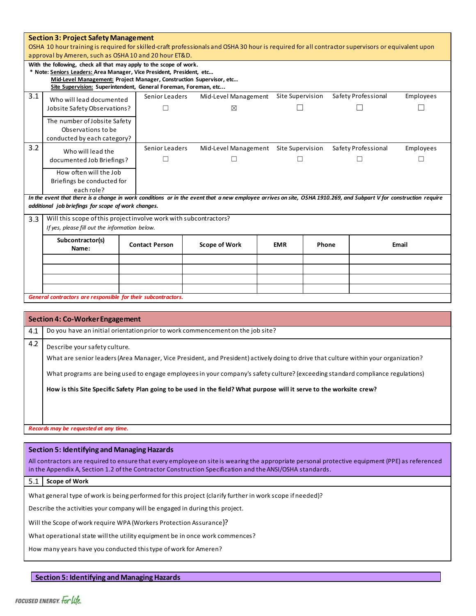|     | <b>Section 3: Project Safety Management</b>                                                                                                                                                                                                                                           |                       |                                       |                  |       |                     |           |
|-----|---------------------------------------------------------------------------------------------------------------------------------------------------------------------------------------------------------------------------------------------------------------------------------------|-----------------------|---------------------------------------|------------------|-------|---------------------|-----------|
|     | OSHA 10 hour training is required for skilled-craft professionals and OSHA 30 hour is required for all contractor supervisors or equivalent upon<br>approval by Ameren, such as OSHA 10 and 20 hour ET&D.                                                                             |                       |                                       |                  |       |                     |           |
|     | With the following, check all that may apply to the scope of work.<br>* Note: Seniors Leaders: Area Manager, Vice President, President, etc<br>Mid-Level Management: Project Manager, Construction Supervisor, etc<br>Site Supervision: Superintendent, General Foreman, Foreman, etc |                       |                                       |                  |       |                     |           |
| 3.1 | Who will lead documented                                                                                                                                                                                                                                                              | Senior Leaders        | Mid-Level Management                  | Site Supervision |       | Safety Professional | Employees |
|     | Jobsite Safety Observations?                                                                                                                                                                                                                                                          | П                     | ⊠                                     |                  |       |                     |           |
|     | The number of Jobsite Safety                                                                                                                                                                                                                                                          |                       |                                       |                  |       |                     |           |
|     | Observations to be<br>conducted by each category?                                                                                                                                                                                                                                     |                       |                                       |                  |       |                     |           |
| 3.2 | Who will lead the                                                                                                                                                                                                                                                                     | Senior Leaders        | Mid-Level Management Site Supervision |                  |       | Safety Professional | Employees |
|     | documented Job Briefings?                                                                                                                                                                                                                                                             | П                     |                                       |                  |       |                     |           |
|     | How often will the Job                                                                                                                                                                                                                                                                |                       |                                       |                  |       |                     |           |
|     | Briefings be conducted for<br>each role?                                                                                                                                                                                                                                              |                       |                                       |                  |       |                     |           |
|     | In the event that there is a change in work conditions or in the event that a new employee arrives on site, OSHA 1910.269, and Subpart V for construction require<br>additional job briefings for scope of work changes.                                                              |                       |                                       |                  |       |                     |           |
| 3.3 | Will this scope of this project involve work with subcontractors?<br>If yes, please fill out the information below.                                                                                                                                                                   |                       |                                       |                  |       |                     |           |
|     | Subcontractor(s)<br>Name:                                                                                                                                                                                                                                                             | <b>Contact Person</b> | <b>Scope of Work</b>                  | <b>EMR</b>       | Phone |                     | Email     |
|     |                                                                                                                                                                                                                                                                                       |                       |                                       |                  |       |                     |           |
|     |                                                                                                                                                                                                                                                                                       |                       |                                       |                  |       |                     |           |
|     |                                                                                                                                                                                                                                                                                       |                       |                                       |                  |       |                     |           |
|     | General contractors are responsible for their subcontractors.                                                                                                                                                                                                                         |                       |                                       |                  |       |                     |           |

|     | Section 4: Co-Worker Engagement                                                                                                                                                                                                                                                                                                                                                                                                  |
|-----|----------------------------------------------------------------------------------------------------------------------------------------------------------------------------------------------------------------------------------------------------------------------------------------------------------------------------------------------------------------------------------------------------------------------------------|
| 4.1 | Do you have an initial orientation prior to work commencement on the job site?                                                                                                                                                                                                                                                                                                                                                   |
| 4.2 | Describe your safety culture.<br>What are senior leaders (Area Manager, Vice President, and President) actively doing to drive that culture within your organization?<br>What programs are being used to engage employees in your company's safety culture? (exceeding standard compliance regulations)<br>How is this Site Specific Safety Plan going to be used in the field? What purpose will it serve to the worksite crew? |

*Records may be requested at any time.* 

**Section 5: Identifying and Managing Hazards**  All contractors are required to ensure that every employee on site is wearing the appropriate personal protective equipment (PPE) as referenced in the Appendix A, Section 1.2 of the Contractor Construction Specification and the ANSI/OSHA standards.

## 5.1 **Scope of Work**

What general type of work is being performed for this project (clarify further in work scope if needed)?

Describe the activities your company will be engaged in during this project.

Will the Scope of work require WPA (Workers Protection Assurance)?

What operational state will the utility equipment be in once work commences?

How many years have you conducted this type of work for Ameren?

**Section 5: Identifying and Managing Hazards**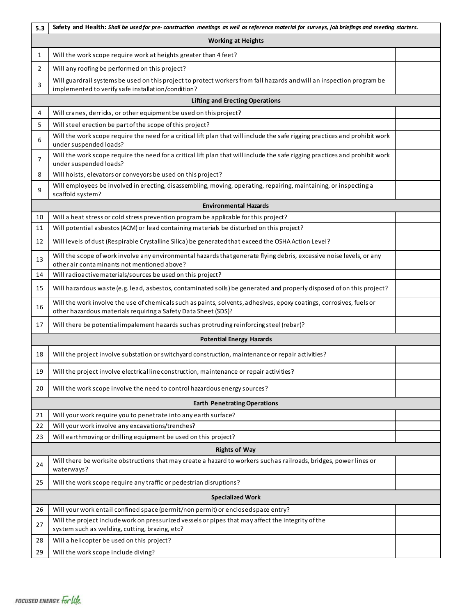| 5.3            | Safety and Health: Shall be used for pre-construction meetings as well as reference material for surveys, job briefings and meeting starters.                                          |  |
|----------------|----------------------------------------------------------------------------------------------------------------------------------------------------------------------------------------|--|
|                | <b>Working at Heights</b>                                                                                                                                                              |  |
| $\mathbf{1}$   | Will the work scope require work at heights greater than 4 feet?                                                                                                                       |  |
| $\overline{2}$ | Will any roofing be performed on this project?                                                                                                                                         |  |
| 3              | Will guardrail systems be used on this project to protect workers from fall hazards and will an inspection program be<br>implemented to verify safe installation/condition?            |  |
|                | <b>Lifting and Erecting Operations</b>                                                                                                                                                 |  |
| 4              | Will cranes, derricks, or other equipment be used on this project?                                                                                                                     |  |
| 5              | Will steel erection be part of the scope of this project?                                                                                                                              |  |
| 6              | Will the work scope require the need for a critical lift plan that will include the safe rigging practices and prohibit work<br>under suspended loads?                                 |  |
| 7              | Will the work scope require the need for a critical lift plan that will include the safe rigging practices and prohibit work<br>under suspended loads?                                 |  |
| 8              | Will hoists, elevators or conveyors be used on this project?                                                                                                                           |  |
| 9              | Will employees be involved in erecting, disassembling, moving, operating, repairing, maintaining, or inspecting a<br>scaffold system?                                                  |  |
|                | <b>Environmental Hazards</b>                                                                                                                                                           |  |
| 10             | Will a heat stress or cold stress prevention program be applicable for this project?                                                                                                   |  |
| 11             | Will potential asbestos (ACM) or lead containing materials be disturbed on this project?                                                                                               |  |
| 12             | Will levels of dust (Respirable Crystalline Silica) be generated that exceed the OSHA Action Level?                                                                                    |  |
| 13             | Will the scope of work involve any environmental hazards that generate flying debris, excessive noise levels, or any<br>other air contaminants not mentioned above?                    |  |
| 14             | Will radioactive materials/sources be used on this project?                                                                                                                            |  |
| 15             | Will hazardous waste (e.g. lead, asbestos, contaminated soils) be generated and properly disposed of on this project?                                                                  |  |
| 16             | Will the work involve the use of chemicals such as paints, solvents, adhesives, epoxy coatings, corrosives, fuels or<br>other hazardous materials requiring a Safety Data Sheet (SDS)? |  |
| 17             | Will there be potential impalement hazards such as protruding reinforcing steel (rebar)?                                                                                               |  |
|                | <b>Potential Energy Hazards</b>                                                                                                                                                        |  |
| 18             | Will the project involve substation or switchyard construction, maintenance or repair activities?                                                                                      |  |
| 19             | Will the project involve electrical line construction, maintenance or repair activities?                                                                                               |  |
| 20             | Will the work scope involve the need to control hazardous energy sources?                                                                                                              |  |
|                | <b>Earth Penetrating Operations</b>                                                                                                                                                    |  |
| 21             | Will your work require you to penetrate into any earth surface?                                                                                                                        |  |
| 22             | Will your work involve any excavations/trenches?                                                                                                                                       |  |
| 23             | Will earthmoving or drilling equipment be used on this project?                                                                                                                        |  |
|                | <b>Rights of Way</b>                                                                                                                                                                   |  |
| 24             | Will there be worksite obstructions that may create a hazard to workers such as railroads, bridges, power lines or<br>waterways?                                                       |  |
| 25             | Will the work scope require any traffic or pedestrian disruptions?                                                                                                                     |  |
|                | <b>Specialized Work</b>                                                                                                                                                                |  |
| 26             | Will your work entail confined space (permit/non permit) or enclosed space entry?                                                                                                      |  |
| 27             | Will the project include work on pressurized vessels or pipes that may affect the integrity of the<br>system such as welding, cutting, brazing, etc?                                   |  |
| 28             | Will a helicopter be used on this project?                                                                                                                                             |  |
| 29             | Will the work scope include diving?                                                                                                                                                    |  |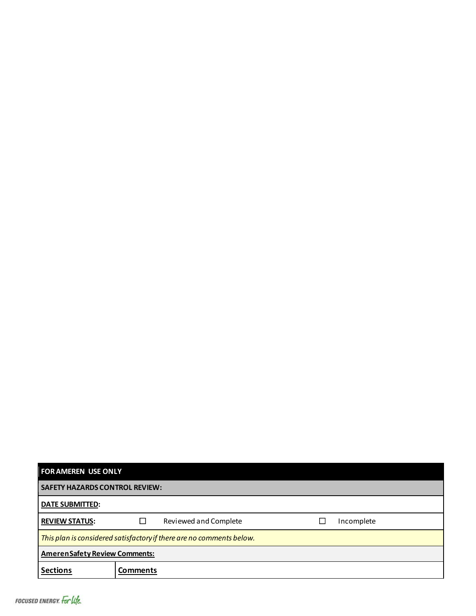| FOR AMEREN USE ONLY                   |                 |                                                                      |            |
|---------------------------------------|-----------------|----------------------------------------------------------------------|------------|
| <b>SAFETY HAZARDS CONTROL REVIEW:</b> |                 |                                                                      |            |
| <b>DATE SUBMITTED:</b>                |                 |                                                                      |            |
| <b>REVIEW STATUS:</b>                 |                 | Reviewed and Complete                                                | Incomplete |
|                                       |                 | This plan is considered satisfactory if there are no comments below. |            |
| <b>Ameren Safety Review Comments:</b> |                 |                                                                      |            |
| <b>Sections</b>                       | <b>Comments</b> |                                                                      |            |